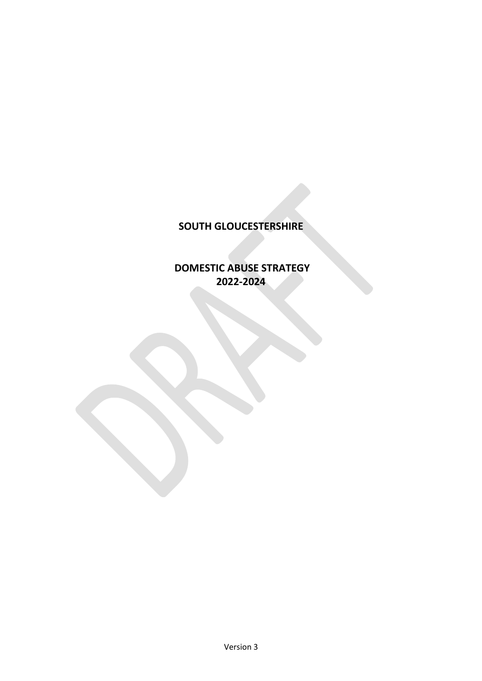# **SOUTH GLOUCESTERSHIRE**

# **DOMESTIC ABUSE STRATEGY 2022-2024**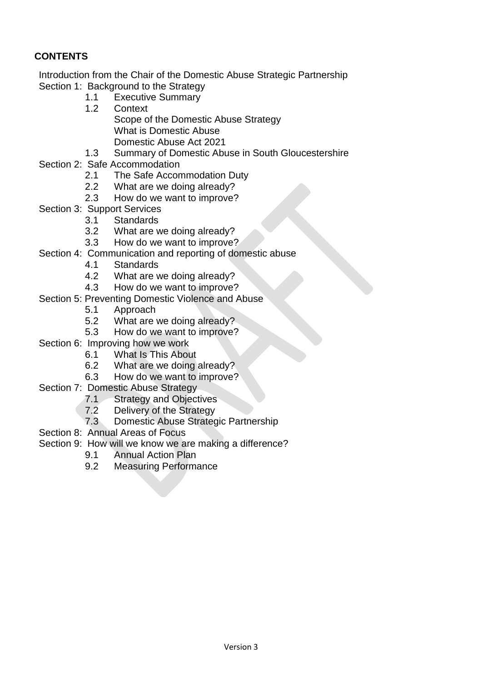# **CONTENTS**

Introduction from the Chair of the Domestic Abuse Strategic Partnership Section 1: Background to the Strategy

- 1.1 Executive Summary
- 1.2 Context
	- Scope of the Domestic Abuse Strategy What is Domestic Abuse Domestic Abuse Act 2021
- 1.3 Summary of Domestic Abuse in South Gloucestershire
- Section 2: Safe Accommodation
	- 2.1 The Safe Accommodation Duty
	- 2.2 What are we doing already?
	- 2.3 How do we want to improve?
- Section 3: Support Services
	- 3.1 Standards
	- 3.2 What are we doing already?
	- 3.3 How do we want to improve?
- Section 4: Communication and reporting of domestic abuse
	- 4.1 Standards
	- 4.2 What are we doing already?
	- 4.3 How do we want to improve?
- Section 5: Preventing Domestic Violence and Abuse
	- 5.1 Approach
	- 5.2 What are we doing already?
	- 5.3 How do we want to improve?
- Section 6: Improving how we work
	- 6.1 What Is This About
		- 6.2 What are we doing already?
		- 6.3 How do we want to improve?
- Section 7: Domestic Abuse Strategy
	- 7.1 Strategy and Objectives
	- 7.2 Delivery of the Strategy
	- 7.3 Domestic Abuse Strategic Partnership
- Section 8: Annual Areas of Focus
- Section 9: How will we know we are making a difference?
	- 9.1 Annual Action Plan
	- 9.2 Measuring Performance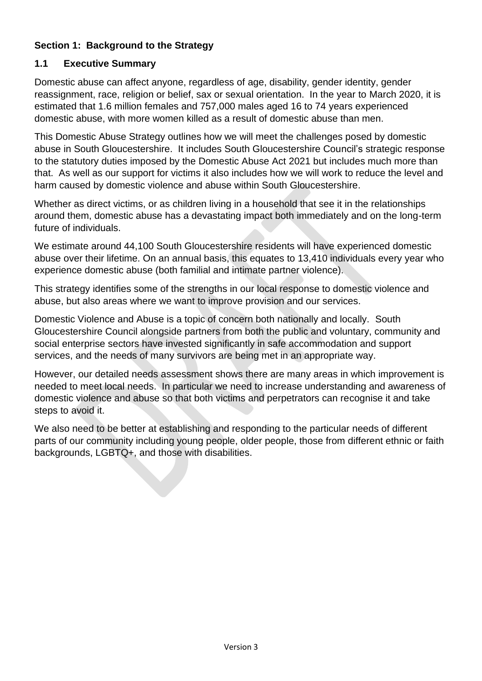# **Section 1: Background to the Strategy**

# **1.1 Executive Summary**

Domestic abuse can affect anyone, regardless of age, disability, gender identity, gender reassignment, race, religion or belief, sax or sexual orientation. In the year to March 2020, it is estimated that 1.6 million females and 757,000 males aged 16 to 74 years experienced domestic abuse, with more women killed as a result of domestic abuse than men.

This Domestic Abuse Strategy outlines how we will meet the challenges posed by domestic abuse in South Gloucestershire. It includes South Gloucestershire Council's strategic response to the statutory duties imposed by the Domestic Abuse Act 2021 but includes much more than that. As well as our support for victims it also includes how we will work to reduce the level and harm caused by domestic violence and abuse within South Gloucestershire.

Whether as direct victims, or as children living in a household that see it in the relationships around them, domestic abuse has a devastating impact both immediately and on the long-term future of individuals.

We estimate around 44,100 South Gloucestershire residents will have experienced domestic abuse over their lifetime. On an annual basis, this equates to 13,410 individuals every year who experience domestic abuse (both familial and intimate partner violence).

This strategy identifies some of the strengths in our local response to domestic violence and abuse, but also areas where we want to improve provision and our services.

Domestic Violence and Abuse is a topic of concern both nationally and locally. South Gloucestershire Council alongside partners from both the public and voluntary, community and social enterprise sectors have invested significantly in safe accommodation and support services, and the needs of many survivors are being met in an appropriate way.

However, our detailed needs assessment shows there are many areas in which improvement is needed to meet local needs. In particular we need to increase understanding and awareness of domestic violence and abuse so that both victims and perpetrators can recognise it and take steps to avoid it.

We also need to be better at establishing and responding to the particular needs of different parts of our community including young people, older people, those from different ethnic or faith backgrounds, LGBTQ+, and those with disabilities.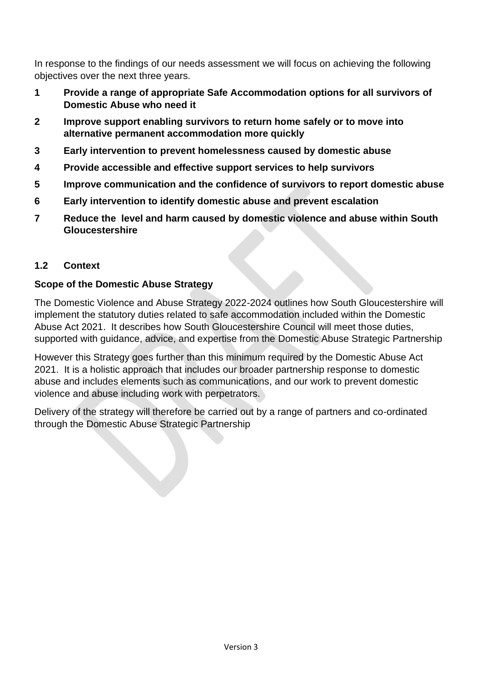In response to the findings of our needs assessment we will focus on achieving the following objectives over the next three years.

- **1 Provide a range of appropriate Safe Accommodation options for all survivors of Domestic Abuse who need it**
- **2 Improve support enabling survivors to return home safely or to move into alternative permanent accommodation more quickly**
- **3 Early intervention to prevent homelessness caused by domestic abuse**
- **4 Provide accessible and effective support services to help survivors**
- **5 Improve communication and the confidence of survivors to report domestic abuse**
- **6 Early intervention to identify domestic abuse and prevent escalation**
- **7 Reduce the level and harm caused by domestic violence and abuse within South Gloucestershire**

# **1.2 Context**

## **Scope of the Domestic Abuse Strategy**

The Domestic Violence and Abuse Strategy 2022-2024 outlines how South Gloucestershire will implement the statutory duties related to safe accommodation included within the Domestic Abuse Act 2021. It describes how South Gloucestershire Council will meet those duties, supported with guidance, advice, and expertise from the Domestic Abuse Strategic Partnership

However this Strategy goes further than this minimum required by the Domestic Abuse Act 2021. It is a holistic approach that includes our broader partnership response to domestic abuse and includes elements such as communications, and our work to prevent domestic violence and abuse including work with perpetrators.

Delivery of the strategy will therefore be carried out by a range of partners and co-ordinated through the Domestic Abuse Strategic Partnership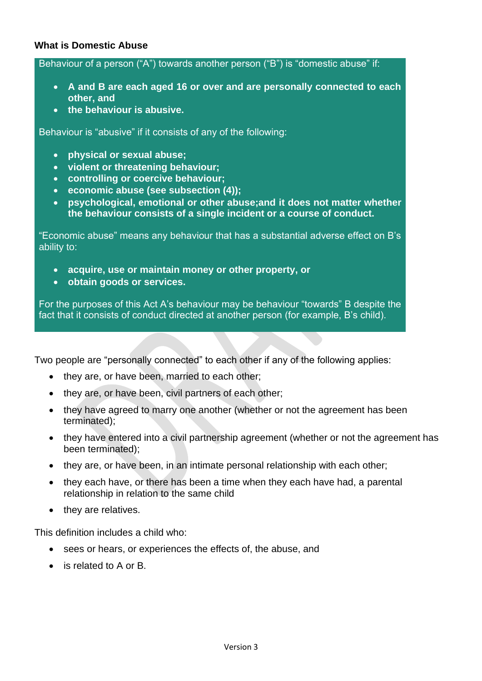## **What is Domestic Abuse**

Behaviour of a person ("A") towards another person ("B") is "domestic abuse" if:

- **A and B are each aged 16 or over and are personally connected to each other, and**
- **the behaviour is abusive.**

Behaviour is "abusive" if it consists of any of the following:

- **physical or sexual abuse;**
- **violent or threatening behaviour;**
- **controlling or coercive behaviour;**
- **economic abuse (see subsection (4));**
- **psychological, emotional or other abuse;and it does not matter whether the behaviour consists of a single incident or a course of conduct.**

"Economic abuse" means any behaviour that has a substantial adverse effect on B's ability to:

- **acquire, use or maintain money or other property, or**
- **obtain goods or services.**

For the purposes of this Act A's behaviour may be behaviour "towards" B despite the fact that it consists of conduct directed at another person (for example, B's child).

Two people are "personally connected" to each other if any of the following applies:

- they are, or have been, married to each other:
- they are, or have been, civil partners of each other;
- they have agreed to marry one another (whether or not the agreement has been terminated);
- they have entered into a civil partnership agreement (whether or not the agreement has been terminated);
- they are, or have been, in an intimate personal relationship with each other;
- they each have, or there has been a time when they each have had, a parental relationship in relation to the same child
- they are relatives.

This definition includes a child who:

- sees or hears, or experiences the effects of, the abuse, and
- is related to A or B.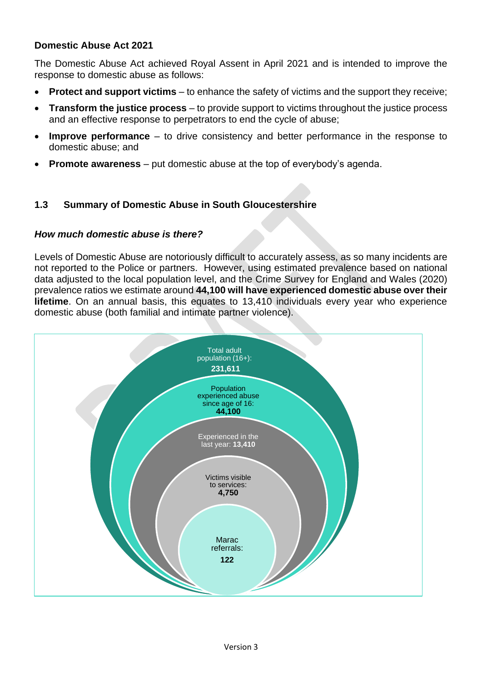## **Domestic Abuse Act 2021**

The Domestic Abuse Act achieved Royal Assent in April 2021 and is intended to improve the response to domestic abuse as follows:

- **Protect and support victims** to enhance the safety of victims and the support they receive;
- **Transform the justice process** to provide support to victims throughout the justice process and an effective response to perpetrators to end the cycle of abuse;
- **Improve performance** to drive consistency and better performance in the response to domestic abuse; and
- **Promote awareness**  put domestic abuse at the top of everybody's agenda.

## **1.3 Summary of Domestic Abuse in South Gloucestershire**

#### *How much domestic abuse is there?*

Levels of Domestic Abuse are notoriously difficult to accurately assess, as so many incidents are not reported to the Police or partners. However, using estimated prevalence based on national data adjusted to the local population level, and the Crime Survey for England and Wales (2020) prevalence ratios we estimate around **44,100 will have experienced domestic abuse over their lifetime**. On an annual basis, this equates to 13,410 individuals every year who experience domestic abuse (both familial and intimate partner violence).

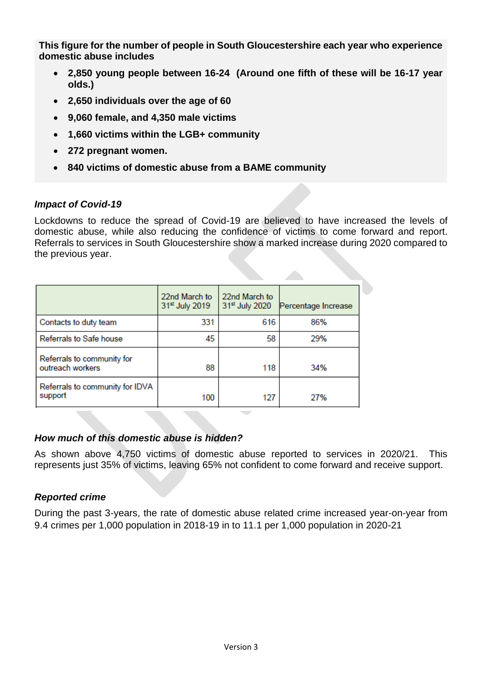**This figure for the number of people in South Gloucestershire each year who experience domestic abuse includes**

- **2,850 young people between 16-24 (Around one fifth of these will be 16-17 year olds.)**
- **2,650 individuals over the age of 60**
- **9,060 female, and 4,350 male victims**
- **1,660 victims within the LGB+ community**
- **272 pregnant women.**
- **840 victims of domestic abuse from a BAME community**

## *Impact of Covid-19*

Lockdowns to reduce the spread of Covid-19 are believed to have increased the levels of domestic abuse, while also reducing the confidence of victims to come forward and report. Referrals to services in South Gloucestershire show a marked increase during 2020 compared to the previous year.

|                                                | 22nd March to<br>31 <sup>st</sup> July 2019 | 22nd March to<br>31 <sup>st</sup> July 2020 | Percentage Increase |
|------------------------------------------------|---------------------------------------------|---------------------------------------------|---------------------|
| Contacts to duty team                          | 331                                         | 616                                         | 86%                 |
| <b>Referrals to Safe house</b>                 | 45                                          | 58                                          | 29%                 |
| Referrals to community for<br>outreach workers | 88                                          | 118                                         | 34%                 |
| Referrals to community for IDVA<br>support     | 100                                         | 127                                         | 27%                 |

## *How much of this domestic abuse is hidden?*

As shown above 4,750 victims of domestic abuse reported to services in 2020/21. This represents just 35% of victims, leaving 65% not confident to come forward and receive support.

# *Reported crime*

During the past 3-years, the rate of domestic abuse related crime increased year-on-year from 9.4 crimes per 1,000 population in 2018-19 in to 11.1 per 1,000 population in 2020-21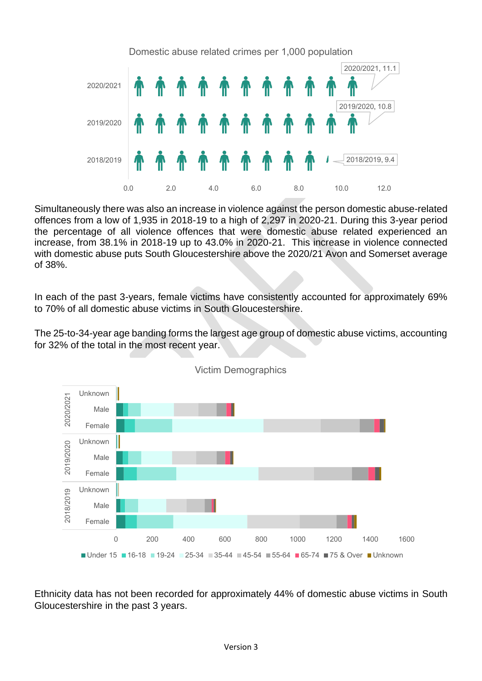

Simultaneously there was also an increase in violence against the person domestic abuse-related offences from a low of 1,935 in 2018-19 to a high of 2,297 in 2020-21. During this 3-year period the percentage of all violence offences that were domestic abuse related experienced an increase, from 38.1% in 2018-19 up to 43.0% in 2020-21. This increase in violence connected with domestic abuse puts South Gloucestershire above the 2020/21 Avon and Somerset average of 38%.

In each of the past 3-years, female victims have consistently accounted for approximately 69% to 70% of all domestic abuse victims in South Gloucestershire.

The 25-to-34-year age banding forms the largest age group of domestic abuse victims, accounting for 32% of the total in the most recent year.



Victim Demographics

Ethnicity data has not been recorded for approximately 44% of domestic abuse victims in South Gloucestershire in the past 3 years.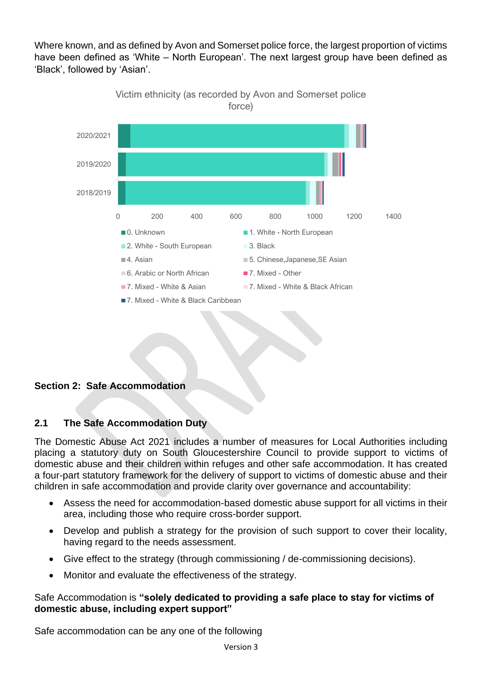Where known, and as defined by Avon and Somerset police force, the largest proportion of victims have been defined as 'White – North European'. The next largest group have been defined as 'Black', followed by 'Asian'.



## **Section 2: Safe Accommodation**

#### **2.1 The Safe Accommodation Duty**

The Domestic Abuse Act 2021 includes a number of measures for Local Authorities including placing a statutory duty on South Gloucestershire Council to provide support to victims of domestic abuse and their children within refuges and other safe accommodation. It has created a four-part statutory framework for the delivery of support to victims of domestic abuse and their children in safe accommodation and provide clarity over governance and accountability:

- Assess the need for accommodation-based domestic abuse support for all victims in their area, including those who require cross-border support.
- Develop and publish a strategy for the provision of such support to cover their locality, having regard to the needs assessment.
- Give effect to the strategy (through commissioning / de-commissioning decisions).
- Monitor and evaluate the effectiveness of the strategy.

## Safe Accommodation is **"solely dedicated to providing a safe place to stay for victims of domestic abuse, including expert support"**

Safe accommodation can be any one of the following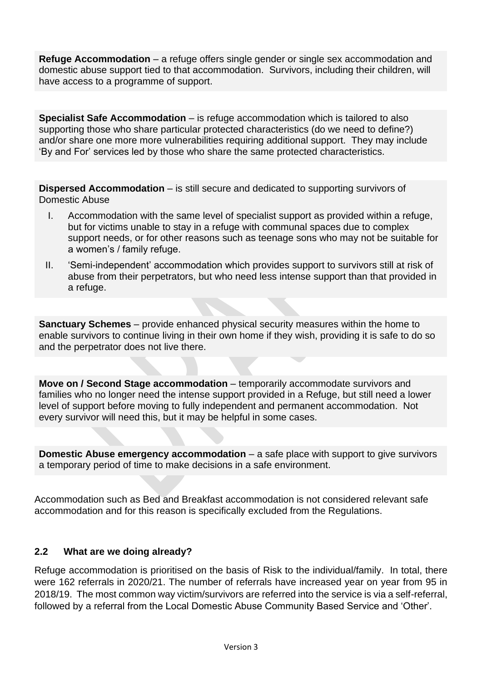**Refuge Accommodation** – a refuge offers single gender or single sex accommodation and domestic abuse support tied to that accommodation. Survivors, including their children, will have access to a programme of support.

**Specialist Safe Accommodation** – is refuge accommodation which is tailored to also supporting those who share particular protected characteristics (do we need to define?) and/or share one more more vulnerabilities requiring additional support. They may include 'By and For' services led by those who share the same protected characteristics.

**Dispersed Accommodation** – is still secure and dedicated to supporting survivors of Domestic Abuse

- I. Accommodation with the same level of specialist support as provided within a refuge, but for victims unable to stay in a refuge with communal spaces due to complex support needs, or for other reasons such as teenage sons who may not be suitable for a women's / family refuge.
- II. 'Semi-independent' accommodation which provides support to survivors still at risk of abuse from their perpetrators, but who need less intense support than that provided in a refuge.

**Sanctuary Schemes** – provide enhanced physical security measures within the home to enable survivors to continue living in their own home if they wish, providing it is safe to do so and the perpetrator does not live there.

**Move on / Second Stage accommodation** – temporarily accommodate survivors and families who no longer need the intense support provided in a Refuge, but still need a lower level of support before moving to fully independent and permanent accommodation. Not every survivor will need this, but it may be helpful in some cases.

**Domestic Abuse emergency accommodation** – a safe place with support to give survivors a temporary period of time to make decisions in a safe environment.

Accommodation such as Bed and Breakfast accommodation is not considered relevant safe accommodation and for this reason is specifically excluded from the Regulations.

#### **2.2 What are we doing already?**

Refuge accommodation is prioritised on the basis of Risk to the individual/family. In total, there were 162 referrals in 2020/21. The number of referrals have increased year on year from 95 in 2018/19. The most common way victim/survivors are referred into the service is via a self-referral, followed by a referral from the Local Domestic Abuse Community Based Service and 'Other'.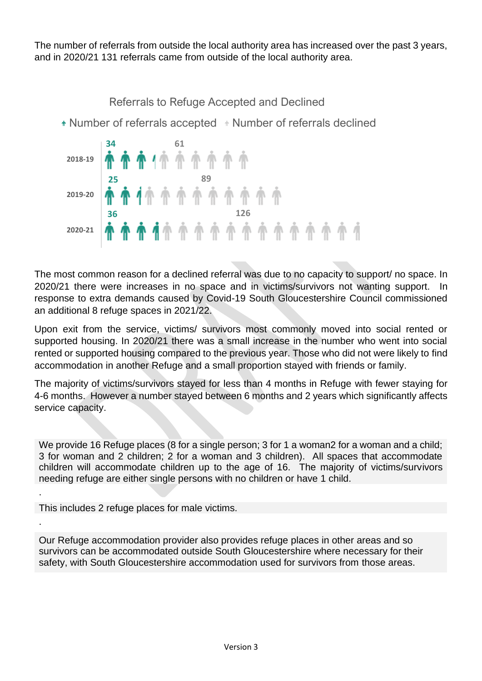The number of referrals from outside the local authority area has increased over the past 3 years, and in 2020/21 131 referrals came from outside of the local authority area.

**34 61 25 89 36 126 2018-19 2019-20 2020-21** Referrals to Refuge Accepted and Declined • Number of referrals accepted • Number of referrals declined

The most common reason for a declined referral was due to no capacity to support/ no space. In 2020/21 there were increases in no space and in victims/survivors not wanting support. In response to extra demands caused by Covid-19 South Gloucestershire Council commissioned an additional 8 refuge spaces in 2021/22.

Upon exit from the service, victims/ survivors most commonly moved into social rented or supported housing. In 2020/21 there was a small increase in the number who went into social rented or supported housing compared to the previous year. Those who did not were likely to find accommodation in another Refuge and a small proportion stayed with friends or family.

The majority of victims/survivors stayed for less than 4 months in Refuge with fewer staying for 4-6 months. However a number stayed between 6 months and 2 years which significantly affects service capacity.

We provide 16 Refuge places (8 for a single person; 3 for 1 a woman2 for a woman and a child; 3 for woman and 2 children; 2 for a woman and 3 children). All spaces that accommodate children will accommodate children up to the age of 16. The majority of victims/survivors needing refuge are either single persons with no children or have 1 child.

This includes 2 refuge places for male victims.

.

.

Our Refuge accommodation provider also provides refuge places in other areas and so survivors can be accommodated outside South Gloucestershire where necessary for their safety, with South Gloucestershire accommodation used for survivors from those areas.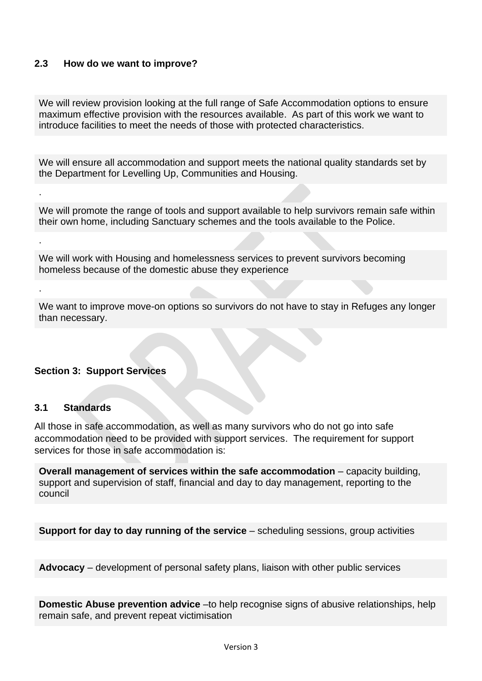## **2.3 How do we want to improve?**

We will review provision looking at the full range of Safe Accommodation options to ensure maximum effective provision with the resources available. As part of this work we want to introduce facilities to meet the needs of those with protected characteristics.

We will ensure all accommodation and support meets the national quality standards set by the Department for Levelling Up, Communities and Housing.

We will promote the range of tools and support available to help survivors remain safe within their own home, including Sanctuary schemes and the tools available to the Police.

We will work with Housing and homelessness services to prevent survivors becoming homeless because of the domestic abuse they experience

We want to improve move-on options so survivors do not have to stay in Refuges any longer than necessary.

#### **Section 3: Support Services**

#### **3.1 Standards**

.

.

.

All those in safe accommodation, as well as many survivors who do not go into safe accommodation need to be provided with support services. The requirement for support services for those in safe accommodation is:

**Overall management of services within the safe accommodation** – capacity building, support and supervision of staff, financial and day to day management, reporting to the council

**Support for day to day running of the service** – scheduling sessions, group activities

**Advocacy** – development of personal safety plans, liaison with other public services

**Domestic Abuse prevention advice** –to help recognise signs of abusive relationships, help remain safe, and prevent repeat victimisation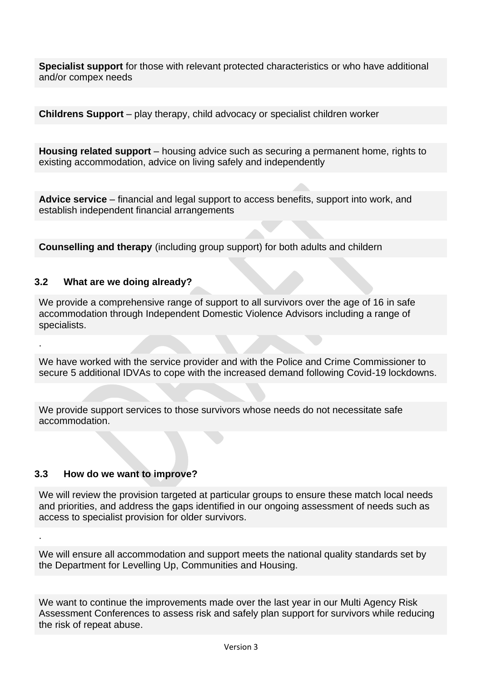**Specialist support** for those with relevant protected characteristics or who have additional and/or compex needs

**Childrens Support** – play therapy, child advocacy or specialist children worker

**Housing related support** – housing advice such as securing a permanent home, rights to existing accommodation, advice on living safely and independently

**Advice service** – financial and legal support to access benefits, support into work, and establish independent financial arrangements

**Counselling and therapy** (including group support) for both adults and childern

#### **3.2 What are we doing already?**

.

.

We provide a comprehensive range of support to all survivors over the age of 16 in safe accommodation through Independent Domestic Violence Advisors including a range of specialists.

We have worked with the service provider and with the Police and Crime Commissioner to secure 5 additional IDVAs to cope with the increased demand following Covid-19 lockdowns.

We provide support services to those survivors whose needs do not necessitate safe accommodation.

#### **3.3 How do we want to improve?**

We will review the provision targeted at particular groups to ensure these match local needs and priorities, and address the gaps identified in our ongoing assessment of needs such as access to specialist provision for older survivors.

We will ensure all accommodation and support meets the national quality standards set by the Department for Levelling Up, Communities and Housing.

We want to continue the improvements made over the last year in our Multi Agency Risk Assessment Conferences to assess risk and safely plan support for survivors while reducing the risk of repeat abuse.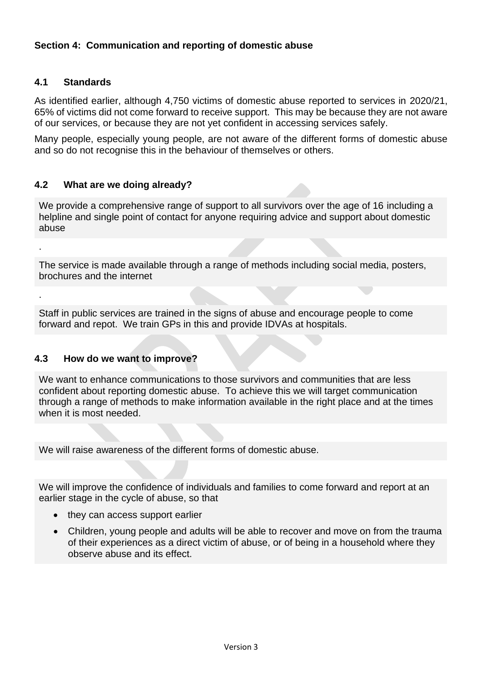# **Section 4: Communication and reporting of domestic abuse**

#### **4.1 Standards**

.

.

As identified earlier, although 4,750 victims of domestic abuse reported to services in 2020/21, 65% of victims did not come forward to receive support. This may be because they are not aware of our services, or because they are not yet confident in accessing services safely.

Many people, especially young people, are not aware of the different forms of domestic abuse and so do not recognise this in the behaviour of themselves or others.

## **4.2 What are we doing already?**

We provide a comprehensive range of support to all survivors over the age of 16 including a helpline and single point of contact for anyone requiring advice and support about domestic abuse

The service is made available through a range of methods including social media, posters, brochures and the internet

Staff in public services are trained in the signs of abuse and encourage people to come forward and repot. We train GPs in this and provide IDVAs at hospitals.

### **4.3 How do we want to improve?**

We want to enhance communications to those survivors and communities that are less confident about reporting domestic abuse. To achieve this we will target communication through a range of methods to make information available in the right place and at the times when it is most needed.

We will raise awareness of the different forms of domestic abuse.

We will improve the confidence of individuals and families to come forward and report at an earlier stage in the cycle of abuse, so that

- they can access support earlier
- Children, young people and adults will be able to recover and move on from the trauma of their experiences as a direct victim of abuse, or of being in a household where they observe abuse and its effect.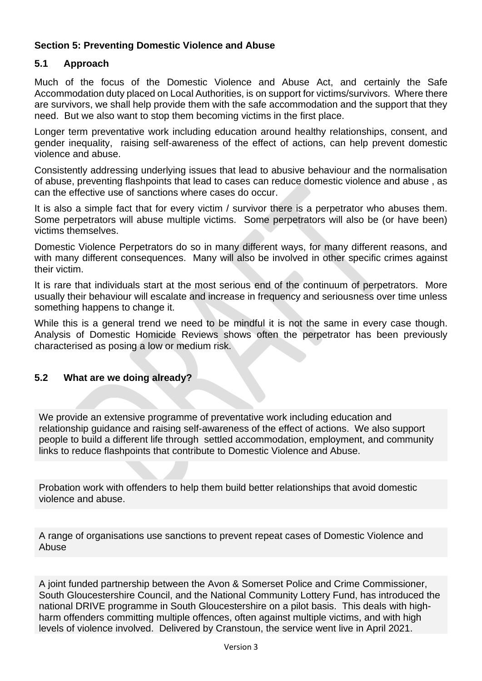# **Section 5: Preventing Domestic Violence and Abuse**

# **5.1 Approach**

Much of the focus of the Domestic Violence and Abuse Act, and certainly the Safe Accommodation duty placed on Local Authorities, is on support for victims/survivors. Where there are survivors, we shall help provide them with the safe accommodation and the support that they need. But we also want to stop them becoming victims in the first place.

Longer term preventative work including education around healthy relationships, consent, and gender inequality, raising self-awareness of the effect of actions, can help prevent domestic violence and abuse.

Consistently addressing underlying issues that lead to abusive behaviour and the normalisation of abuse, preventing flashpoints that lead to cases can reduce domestic violence and abuse , as can the effective use of sanctions where cases do occur.

It is also a simple fact that for every victim / survivor there is a perpetrator who abuses them. Some perpetrators will abuse multiple victims. Some perpetrators will also be (or have been) victims themselves.

Domestic Violence Perpetrators do so in many different ways, for many different reasons, and with many different consequences. Many will also be involved in other specific crimes against their victim.

It is rare that individuals start at the most serious end of the continuum of perpetrators. More usually their behaviour will escalate and increase in frequency and seriousness over time unless something happens to change it.

While this is a general trend we need to be mindful it is not the same in every case though. Analysis of Domestic Homicide Reviews shows often the perpetrator has been previously characterised as posing a low or medium risk.

## **5.2 What are we doing already?**

We provide an extensive programme of preventative work including education and relationship guidance and raising self-awareness of the effect of actions. We also support people to build a different life through settled accommodation, employment, and community links to reduce flashpoints that contribute to Domestic Violence and Abuse.

Probation work with offenders to help them build better relationships that avoid domestic violence and abuse.

A range of organisations use sanctions to prevent repeat cases of Domestic Violence and Abuse

A joint funded partnership between the Avon & Somerset Police and Crime Commissioner, South Gloucestershire Council, and the National Community Lottery Fund, has introduced the national DRIVE programme in South Gloucestershire on a pilot basis. This deals with highharm offenders committing multiple offences, often against multiple victims, and with high levels of violence involved. Delivered by Cranstoun, the service went live in April 2021.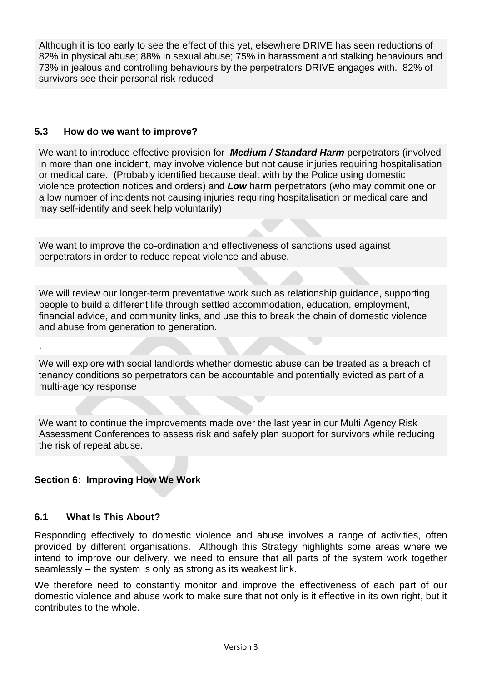Although it is too early to see the effect of this yet, elsewhere DRIVE has seen reductions of 82% in physical abuse; 88% in sexual abuse; 75% in harassment and stalking behaviours and 73% in jealous and controlling behaviours by the perpetrators DRIVE engages with. 82% of survivors see their personal risk reduced

## **5.3 How do we want to improve?**

We want to introduce effective provision for *Medium / Standard Harm* perpetrators (involved in more than one incident, may involve violence but not cause injuries requiring hospitalisation or medical care. (Probably identified because dealt with by the Police using domestic violence protection notices and orders) and *Low* harm perpetrators (who may commit one or a low number of incidents not causing injuries requiring hospitalisation or medical care and may self-identify and seek help voluntarily)

We want to improve the co-ordination and effectiveness of sanctions used against perpetrators in order to reduce repeat violence and abuse.

We will review our longer-term preventative work such as relationship guidance, supporting people to build a different life through settled accommodation, education, employment, financial advice, and community links, and use this to break the chain of domestic violence and abuse from generation to generation.

We will explore with social landlords whether domestic abuse can be treated as a breach of tenancy conditions so perpetrators can be accountable and potentially evicted as part of a multi-agency response

We want to continue the improvements made over the last year in our Multi Agency Risk Assessment Conferences to assess risk and safely plan support for survivors while reducing the risk of repeat abuse.

## **Section 6: Improving How We Work**

#### **6.1 What Is This About?**

.

Responding effectively to domestic violence and abuse involves a range of activities, often provided by different organisations. Although this Strategy highlights some areas where we intend to improve our delivery, we need to ensure that all parts of the system work together seamlessly – the system is only as strong as its weakest link.

We therefore need to constantly monitor and improve the effectiveness of each part of our domestic violence and abuse work to make sure that not only is it effective in its own right, but it contributes to the whole.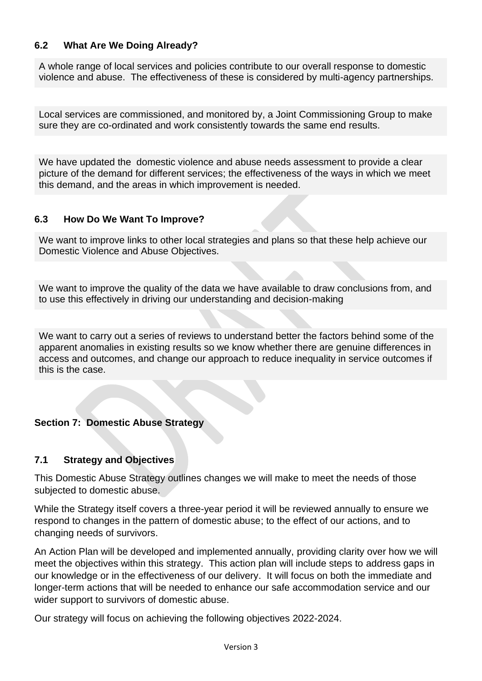## **6.2 What Are We Doing Already?**

A whole range of local services and policies contribute to our overall response to domestic violence and abuse. The effectiveness of these is considered by multi-agency partnerships.

Local services are commissioned, and monitored by, a Joint Commissioning Group to make sure they are co-ordinated and work consistently towards the same end results.

We have updated the domestic violence and abuse needs assessment to provide a clear picture of the demand for different services; the effectiveness of the ways in which we meet this demand, and the areas in which improvement is needed.

#### **6.3 How Do We Want To Improve?**

We want to improve links to other local strategies and plans so that these help achieve our Domestic Violence and Abuse Objectives.

We want to improve the quality of the data we have available to draw conclusions from, and to use this effectively in driving our understanding and decision-making

We want to carry out a series of reviews to understand better the factors behind some of the apparent anomalies in existing results so we know whether there are genuine differences in access and outcomes, and change our approach to reduce inequality in service outcomes if this is the case.

## **Section 7: Domestic Abuse Strategy**

## **7.1 Strategy and Objectives**

This Domestic Abuse Strategy outlines changes we will make to meet the needs of those subjected to domestic abuse.

While the Strategy itself covers a three-year period it will be reviewed annually to ensure we respond to changes in the pattern of domestic abuse; to the effect of our actions, and to changing needs of survivors.

An Action Plan will be developed and implemented annually, providing clarity over how we will meet the objectives within this strategy. This action plan will include steps to address gaps in our knowledge or in the effectiveness of our delivery. It will focus on both the immediate and longer-term actions that will be needed to enhance our safe accommodation service and our wider support to survivors of domestic abuse.

Our strategy will focus on achieving the following objectives 2022-2024.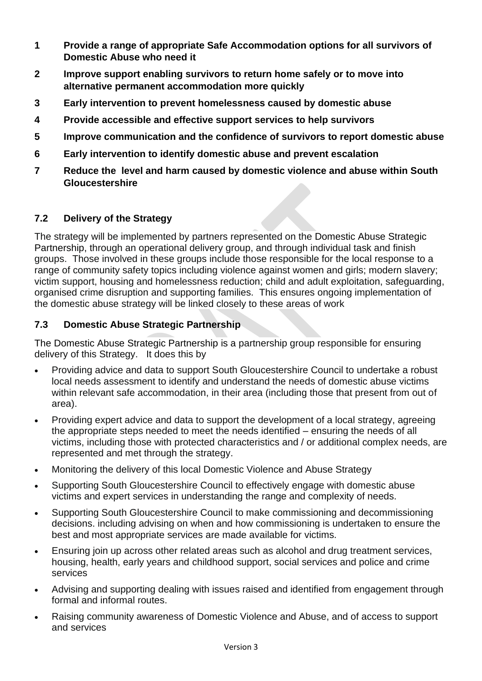- **1 Provide a range of appropriate Safe Accommodation options for all survivors of Domestic Abuse who need it**
- **2 Improve support enabling survivors to return home safely or to move into alternative permanent accommodation more quickly**
- **3 Early intervention to prevent homelessness caused by domestic abuse**
- **4 Provide accessible and effective support services to help survivors**
- **5 Improve communication and the confidence of survivors to report domestic abuse**
- **6 Early intervention to identify domestic abuse and prevent escalation**
- **7 Reduce the level and harm caused by domestic violence and abuse within South Gloucestershire**

# **7.2 Delivery of the Strategy**

The strategy will be implemented by partners represented on the Domestic Abuse Strategic Partnership, through an operational delivery group, and through individual task and finish groups. Those involved in these groups include those responsible for the local response to a range of community safety topics including violence against women and girls; modern slavery; victim support, housing and homelessness reduction; child and adult exploitation, safeguarding, organised crime disruption and supporting families. This ensures ongoing implementation of the domestic abuse strategy will be linked closely to these areas of work

## **7.3 Domestic Abuse Strategic Partnership**

The Domestic Abuse Strategic Partnership is a partnership group responsible for ensuring delivery of this Strategy. It does this by

- Providing advice and data to support South Gloucestershire Council to undertake a robust local needs assessment to identify and understand the needs of domestic abuse victims within relevant safe accommodation, in their area (including those that present from out of area).
- Providing expert advice and data to support the development of a local strategy, agreeing the appropriate steps needed to meet the needs identified – ensuring the needs of all victims, including those with protected characteristics and / or additional complex needs, are represented and met through the strategy.
- Monitoring the delivery of this local Domestic Violence and Abuse Strategy
- Supporting South Gloucestershire Council to effectively engage with domestic abuse victims and expert services in understanding the range and complexity of needs.
- Supporting South Gloucestershire Council to make commissioning and decommissioning decisions. including advising on when and how commissioning is undertaken to ensure the best and most appropriate services are made available for victims.
- Ensuring join up across other related areas such as alcohol and drug treatment services, housing, health, early years and childhood support, social services and police and crime services
- Advising and supporting dealing with issues raised and identified from engagement through formal and informal routes.
- Raising community awareness of Domestic Violence and Abuse, and of access to support and services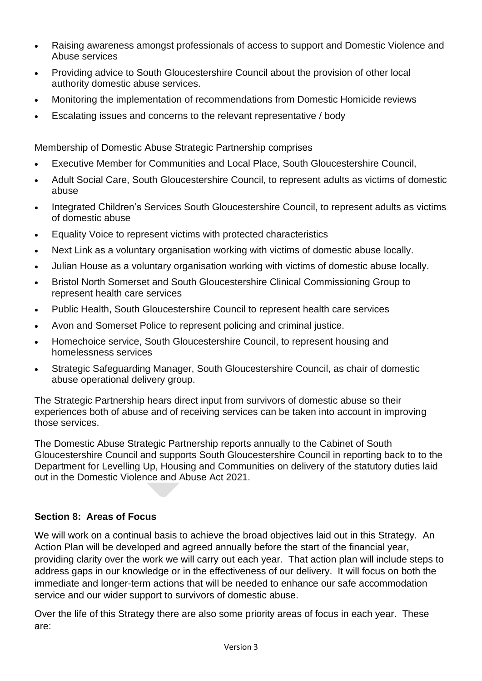- Raising awareness amongst professionals of access to support and Domestic Violence and Abuse services
- Providing advice to South Gloucestershire Council about the provision of other local authority domestic abuse services.
- Monitoring the implementation of recommendations from Domestic Homicide reviews
- Escalating issues and concerns to the relevant representative / body

Membership of Domestic Abuse Strategic Partnership comprises

- Executive Member for Communities and Local Place, South Gloucestershire Council,
- Adult Social Care, South Gloucestershire Council, to represent adults as victims of domestic abuse
- Integrated Children's Services South Gloucestershire Council, to represent adults as victims of domestic abuse
- Equality Voice to represent victims with protected characteristics
- Next Link as a voluntary organisation working with victims of domestic abuse locally.
- Julian House as a voluntary organisation working with victims of domestic abuse locally.
- Bristol North Somerset and South Gloucestershire Clinical Commissioning Group to represent health care services
- Public Health, South Gloucestershire Council to represent health care services
- Avon and Somerset Police to represent policing and criminal justice.
- Homechoice service, South Gloucestershire Council, to represent housing and homelessness services
- Strategic Safeguarding Manager, South Gloucestershire Council, as chair of domestic abuse operational delivery group.

The Strategic Partnership hears direct input from survivors of domestic abuse so their experiences both of abuse and of receiving services can be taken into account in improving those services.

The Domestic Abuse Strategic Partnership reports annually to the Cabinet of South Gloucestershire Council and supports South Gloucestershire Council in reporting back to to the Department for Levelling Up, Housing and Communities on delivery of the statutory duties laid out in the Domestic Violence and Abuse Act 2021.

# **Section 8: Areas of Focus**

We will work on a continual basis to achieve the broad objectives laid out in this Strategy. An Action Plan will be developed and agreed annually before the start of the financial year, providing clarity over the work we will carry out each year. That action plan will include steps to address gaps in our knowledge or in the effectiveness of our delivery. It will focus on both the immediate and longer-term actions that will be needed to enhance our safe accommodation service and our wider support to survivors of domestic abuse.

Over the life of this Strategy there are also some priority areas of focus in each year. These are: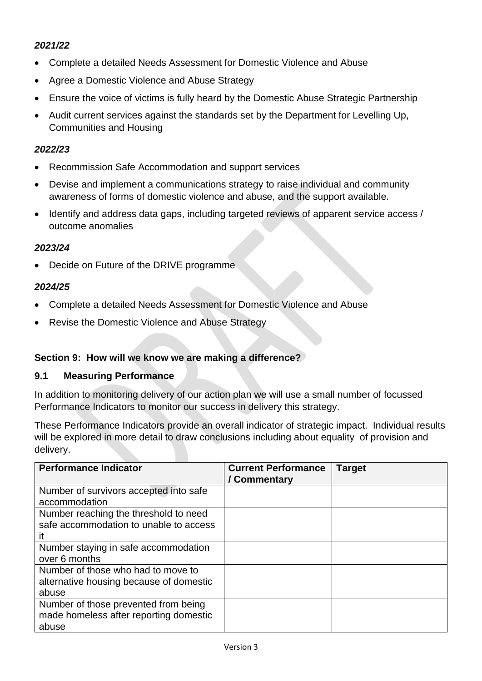# *2021/22*

- Complete a detailed Needs Assessment for Domestic Violence and Abuse
- Agree a Domestic Violence and Abuse Strategy
- Ensure the voice of victims is fully heard by the Domestic Abuse Strategic Partnership
- Audit current services against the standards set by the Department for Levelling Up, Communities and Housing

## *2022/23*

- Recommission Safe Accommodation and support services
- Devise and implement a communications strategy to raise individual and community awareness of forms of domestic violence and abuse, and the support available.
- Identify and address data gaps, including targeted reviews of apparent service access / outcome anomalies

## *2023/24*

• Decide on Future of the DRIVE programme

## *2024/25*

- Complete a detailed Needs Assessment for Domestic Violence and Abuse
- Revise the Domestic Violence and Abuse Strategy

## **Section 9: How will we know we are making a difference?**

#### **9.1 Measuring Performance**

In addition to monitoring delivery of our action plan we will use a small number of focussed Performance Indicators to monitor our success in delivery this strategy.

These Performance Indicators provide an overall indicator of strategic impact. Individual results will be explored in more detail to draw conclusions including about equality of provision and delivery.

| <b>Performance Indicator</b>                            | <b>Current Performance</b><br>/ Commentary | <b>Target</b> |
|---------------------------------------------------------|--------------------------------------------|---------------|
| Number of survivors accepted into safe<br>accommodation |                                            |               |
| Number reaching the threshold to need                   |                                            |               |
| safe accommodation to unable to access                  |                                            |               |
| it                                                      |                                            |               |
| Number staying in safe accommodation<br>over 6 months   |                                            |               |
| Number of those who had to move to                      |                                            |               |
| alternative housing because of domestic                 |                                            |               |
| abuse                                                   |                                            |               |
| Number of those prevented from being                    |                                            |               |
| made homeless after reporting domestic                  |                                            |               |
| abuse                                                   |                                            |               |